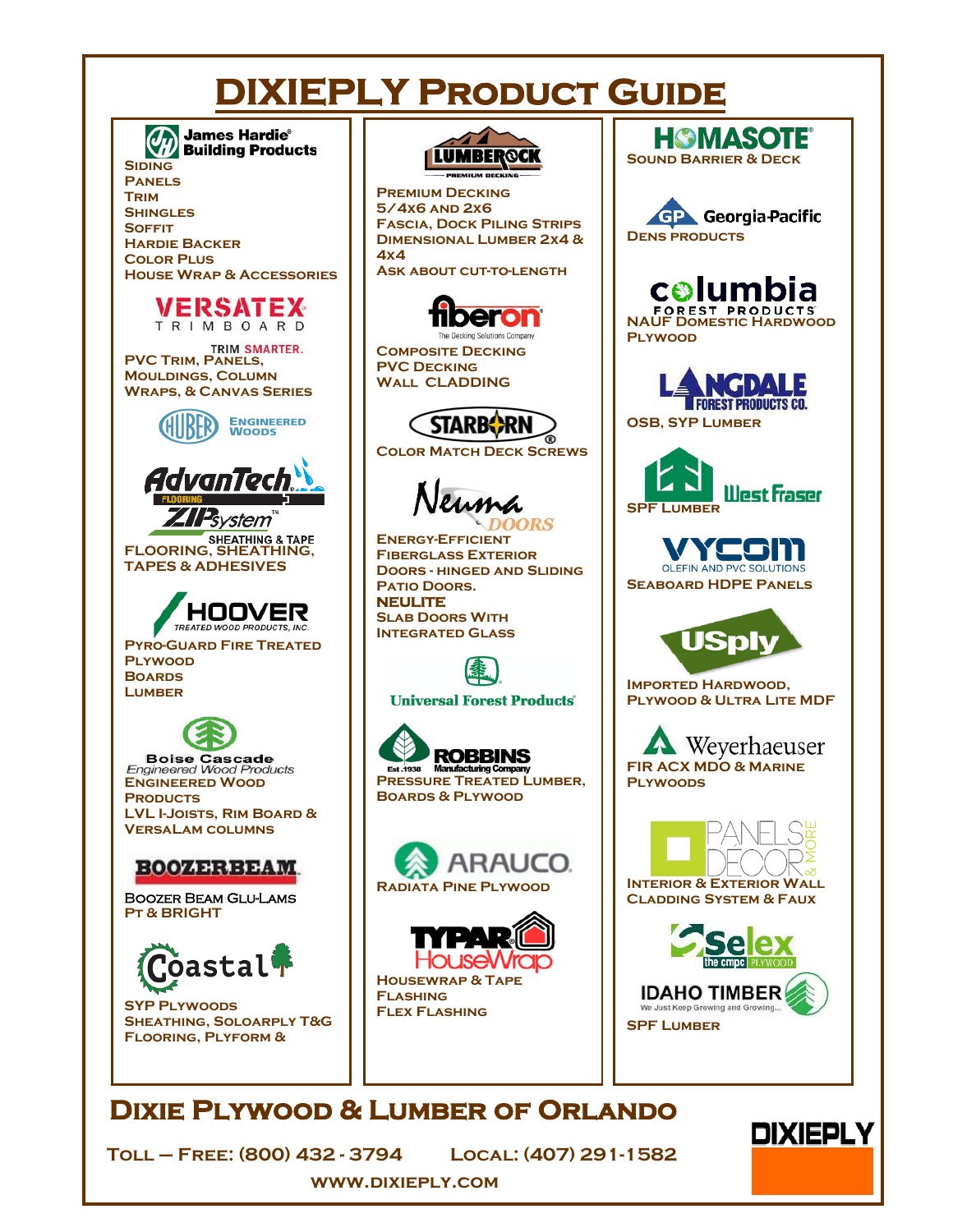## **DIXIEPLY PRODUCT GUIDE**



TRIMBOARD **PVC TRIM, PANELS, Mouldings, Column Wraps, & Canvas Series** 



**FLOORING, SHEATHING & TAPE TAPES & ADHESIVES** 



**Pyro-Guard Fire Treated Plywood Boards LUMBER** 

**Boise Cascade**<br>Engineered Wood Products **[Engineered Wood](https://www.bc.com/)  PRODUCTS LVL I-Joists, Rim Board & VersaLam columns**

## **BOOZERBEAM**

[Boozer Beam Glu-Lams](http://boozerbeam.com/)  **Pt & BRIGHT**



**SYP Plywoods Sheathing, Soloarply T&G Flooring, Plyform &** 



**Premium Decking 5/4x6 and 2x6 Fascia, Dock Piling Strips Dimensional Lumber 2x4 & 4x4 Ask about cut-to-length** 



**Composite Decking PVC Decking Wall CLADDING**



**Color Match Deck Screws**

IRS

**[Energy-Efficient](http://www.neumadoors.com/)  Fiberglass Exterior Doors - hinged and Sliding PATIO DOORS. NEULITE Slab Doors With Integrated Glass**



**Universal Forest Products**®







**[Housewrap & Tape](http://www.typar.com/products/typar-flashings-and-tapes/)  Flashing Flex Flashing**



**Imported Hardwood, Plywood & Ultra Lite MDF**

Weverhaeuser **[FIR ACX MDO & Marine](https://www.weyerhaeuser.com/woodproducts/osb-panels/plywood/)  Plywoods**



**Cladding System & Faux** 



## **Dixie Plywood & Lumber of Orlando**

**Toll – Free: (800) 432 - 3794 Local: (407) 291-1582** 

**DIXIEPLY** 

**<www.dixieply.com>**